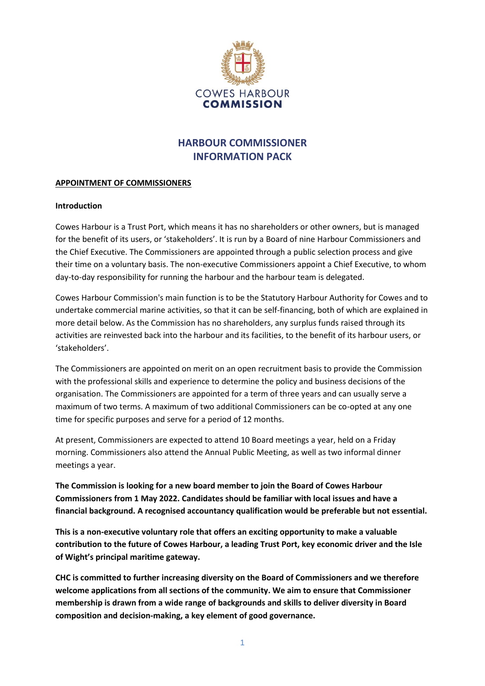

# **HARBOUR COMMISSIONER INFORMATION PACK**

#### **APPOINTMENT OF COMMISSIONERS**

#### **Introduction**

Cowes Harbour is a Trust Port, which means it has no shareholders or other owners, but is managed for the benefit of its users, or 'stakeholders'. It is run by a Board of nine Harbour Commissioners and the Chief Executive. The Commissioners are appointed through a public selection process and give their time on a voluntary basis. The non-executive Commissioners appoint a Chief Executive, to whom day-to-day responsibility for running the harbour and the harbour team is delegated.

Cowes Harbour Commission's main function is to be the Statutory Harbour Authority for Cowes and to undertake commercial marine activities, so that it can be self-financing, both of which are explained in more detail below. As the Commission has no shareholders, any surplus funds raised through its activities are reinvested back into the harbour and its facilities, to the benefit of its harbour users, or 'stakeholders'.

The Commissioners are appointed on merit on an open recruitment basis to provide the Commission with the professional skills and experience to determine the policy and business decisions of the organisation. The Commissioners are appointed for a term of three years and can usually serve a maximum of two terms. A maximum of two additional Commissioners can be co-opted at any one time for specific purposes and serve for a period of 12 months.

At present, Commissioners are expected to attend 10 Board meetings a year, held on a Friday morning. Commissioners also attend the Annual Public Meeting, as well as two informal dinner meetings a year.

**The Commission is looking for a new board member to join the Board of Cowes Harbour Commissioners from 1 May 2022. Candidates should be familiar with local issues and have a financial background. A recognised accountancy qualification would be preferable but not essential.**

**This is a non-executive voluntary role that offers an exciting opportunity to make a valuable contribution to the future of Cowes Harbour, a leading Trust Port, key economic driver and the Isle of Wight's principal maritime gateway.**

**CHC is committed to further increasing diversity on the Board of Commissioners and we therefore welcome applications from all sections of the community. We aim to ensure that Commissioner membership is drawn from a wide range of backgrounds and skills to deliver diversity in Board composition and decision-making, a key element of good governance.**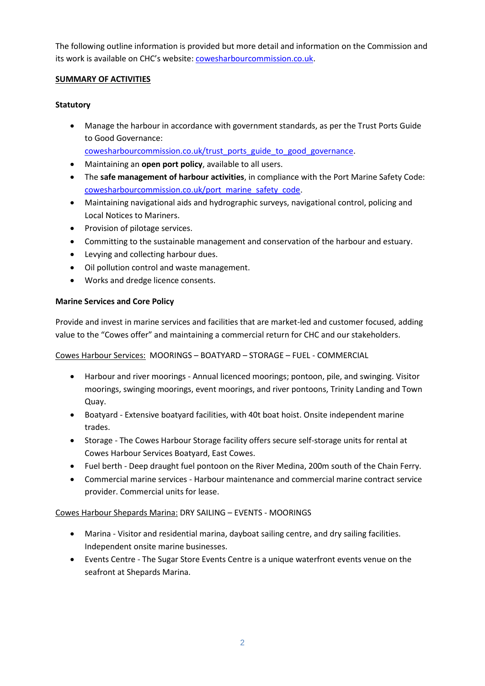The following outline information is provided but more detail and information on the Commission and its work is available on CHC's website: [cowesharbourcommission.co.uk.](http://www.cowesharbourcommission.co.uk/)

# **SUMMARY OF ACTIVITIES**

# **Statutory**

• Manage the harbour in accordance with government standards, as per the Trust Ports Guide to Good Governance:

[cowesharbourcommission.co.uk/trust\\_ports\\_guide\\_to\\_good\\_governance.](https://www.cowesharbourcommission.co.uk/trust_ports_guide_to_good_governance)

- Maintaining an **open port policy**, available to all users.
- The **safe management of harbour activities**, in compliance with the Port Marine Safety Code: [cowesharbourcommission.co.uk/port\\_marine\\_safety\\_code.](https://www.cowesharbourcommission.co.uk/port_marine_safety_code)
- Maintaining navigational aids and hydrographic surveys, navigational control, policing and Local Notices to Mariners.
- Provision of pilotage services.
- Committing to the sustainable management and conservation of the harbour and estuary.
- Levying and collecting harbour dues.
- Oil pollution control and waste management.
- Works and dredge licence consents.

## **Marine Services and Core Policy**

Provide and invest in marine services and facilities that are market-led and customer focused, adding value to the "Cowes offer" and maintaining a commercial return for CHC and our stakeholders.

Cowes Harbour Services: MOORINGS – BOATYARD – STORAGE – FUEL - COMMERCIAL

- Harbour and river moorings Annual licenced moorings; pontoon, pile, and swinging. Visitor moorings, swinging moorings, event moorings, and river pontoons, Trinity Landing and Town Quay.
- Boatyard Extensive boatyard facilities, with 40t boat hoist. Onsite independent marine trades.
- Storage The Cowes Harbour Storage facility offers secure self-storage units for rental at Cowes Harbour Services Boatyard, East Cowes.
- Fuel berth Deep draught fuel pontoon on the River Medina, 200m south of the Chain Ferry.
- Commercial marine services Harbour maintenance and commercial marine contract service provider. Commercial units for lease.

Cowes Harbour Shepards Marina: DRY SAILING – EVENTS - MOORINGS

- Marina Visitor and residential marina, dayboat sailing centre, and dry sailing facilities. Independent onsite marine businesses.
- Events Centre The Sugar Store Events Centre is a unique waterfront events venue on the seafront at Shepards Marina.